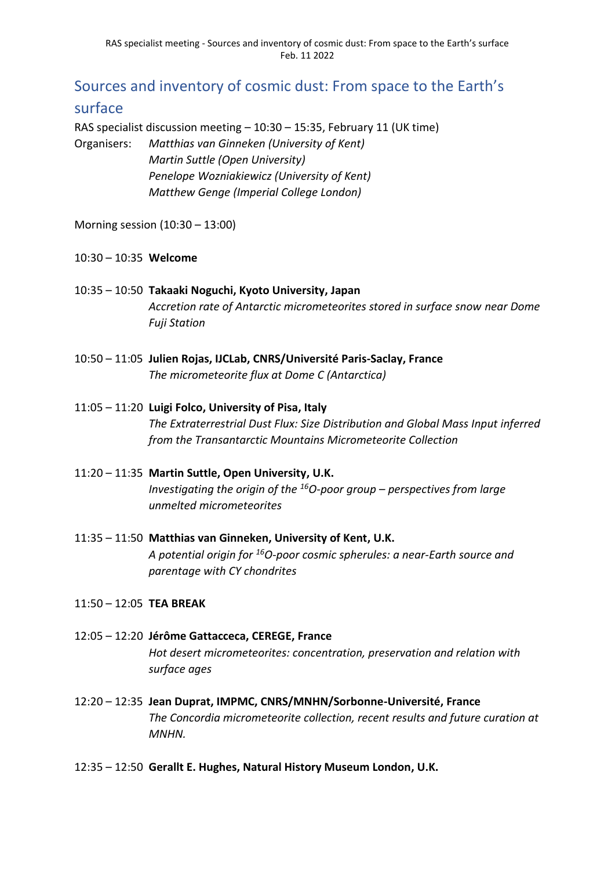# Sources and inventory of cosmic dust: From space to the Earth's surface

RAS specialist discussion meeting – 10:30 – 15:35, February 11 (UK time) Organisers: *Matthias van Ginneken (University of Kent)*

*Martin Suttle (Open University) Penelope Wozniakiewicz (University of Kent) Matthew Genge (Imperial College London)*

Morning session (10:30 – 13:00)

## 10:30 – 10:35 **Welcome**

- 10:35 10:50 **Takaaki Noguchi, Kyoto University, Japan** *Accretion rate of Antarctic micrometeorites stored in surface snow near Dome Fuji Station*
- 10:50 11:05 **Julien Rojas, IJCLab, CNRS/Université Paris-Saclay, France** *The micrometeorite flux at Dome C (Antarctica)*

## 11:05 – 11:20 **Luigi Folco, University of Pisa, Italy**

*The Extraterrestrial Dust Flux: Size Distribution and Global Mass Input inferred from the Transantarctic Mountains Micrometeorite Collection*

- 11:20 11:35 **Martin Suttle, Open University, U.K.** *Investigating the origin of the <sup>16</sup>O-poor group – perspectives from large unmelted micrometeorites*
- 11:35 11:50 **Matthias van Ginneken, University of Kent, U.K.** *A potential origin for <sup>16</sup>O-poor cosmic spherules: a near-Earth source and parentage with CY chondrites*
- 11:50 12:05 **TEA BREAK**
- 12:05 12:20 **Jérôme Gattacceca, CEREGE, France** *Hot desert micrometeorites: concentration, preservation and relation with surface ages*
- 12:20 12:35 **Jean Duprat, IMPMC, CNRS/MNHN/Sorbonne-Université, France** *The Concordia micrometeorite collection, recent results and future curation at MNHN.*
- 12:35 12:50 **Gerallt E. Hughes, Natural History Museum London, U.K.**